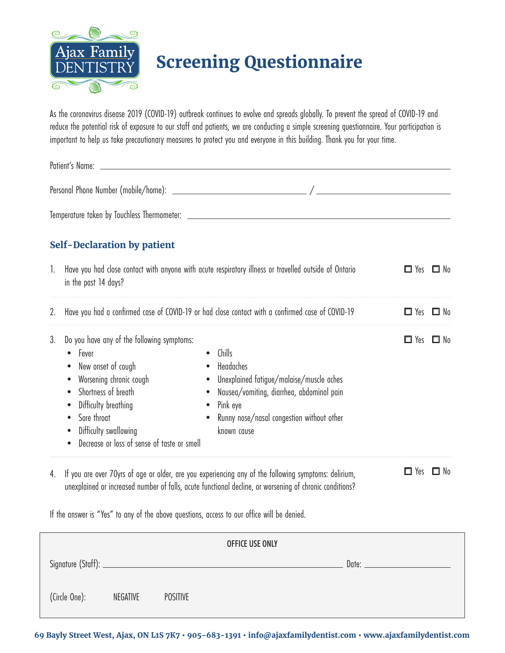

## **Screening Questionnaire**

As the coronavirus disease 2019 (COVID-19) outbreak continues to evolve and spreads globally. To prevent the spread of COVID-19 and reduce the potential risk of exposure to our staff and patients, we are conducting a simple screening questionnaire. Your participation is important to help us take precautionary measures to protect you and everyone in this building. Thank you for your time.

| Patient's Name: |                                                                                                                                                                                                                                                         |                                                                                                                                                                                                   |                      |                      |  |  |  |  |
|-----------------|---------------------------------------------------------------------------------------------------------------------------------------------------------------------------------------------------------------------------------------------------------|---------------------------------------------------------------------------------------------------------------------------------------------------------------------------------------------------|----------------------|----------------------|--|--|--|--|
|                 |                                                                                                                                                                                                                                                         |                                                                                                                                                                                                   |                      |                      |  |  |  |  |
|                 |                                                                                                                                                                                                                                                         |                                                                                                                                                                                                   |                      |                      |  |  |  |  |
|                 | <b>Self-Declaration by patient</b>                                                                                                                                                                                                                      |                                                                                                                                                                                                   |                      |                      |  |  |  |  |
| $\mathbf{L}$    | Have you had close contact with anyone with acute respiratory illness or travelled outside of Ontario<br>in the past 14 days?                                                                                                                           | $\Box$ Yes $\Box$ No                                                                                                                                                                              |                      |                      |  |  |  |  |
| 2.              | Have you had a confirmed case of COVID-19 or had close contact with a confirmed case of COVID-19                                                                                                                                                        |                                                                                                                                                                                                   |                      | $\Box$ Yes $\Box$ No |  |  |  |  |
| 3.              | Do you have any of the following symptoms:<br>Fever<br>$\bullet$<br>New onset of cough<br>Worsening chronic cough<br>Shortness of breath<br>Difficulty breathing<br>Sore throat<br>Difficulty swallowing<br>Decrease or loss of sense of taste or smell | Chills<br>Headaches<br>Unexplained fatigue/malaise/muscle aches<br>$\bullet$<br>Nausea/vomiting, diarrhea, abdominal pain<br>Pink eye<br>Runny nose/nasal congestion without other<br>known cause | $\Box$ Yes $\Box$ No |                      |  |  |  |  |
|                 |                                                                                                                                                                                                                                                         | 4. If you are over 70yrs of age or older, are you experiencing any of the following symptoms: delirium,                                                                                           | $\Box$ Yes $\Box$ No |                      |  |  |  |  |

unexplained or increased number of falls, acute functional decline, or worsening of chronic conditions?

If the answer is "Yes" to any of the above questions, access to our office will be denied.

| <b>OFFICE USE ONLY</b> |          |                 |  |  |  |  |  |  |
|------------------------|----------|-----------------|--|--|--|--|--|--|
|                        |          |                 |  |  |  |  |  |  |
| (Circle One):          | NEGATIVE | <b>POSITIVE</b> |  |  |  |  |  |  |

**69 Bayly Street West, Ajax, ON L1S 7K7 • 905-683-1391 • info@ajaxfamilydentist.com • www.ajaxfamilydentist.com**